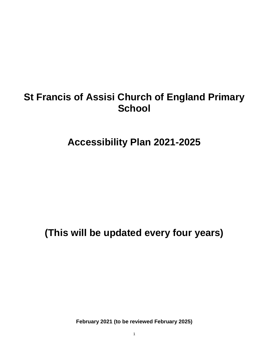# **St Francis of Assisi Church of England Primary School**

**Accessibility Plan 2021-2025**

**(This will be updated every four years)**

**February 2021 (to be reviewed February 2025)**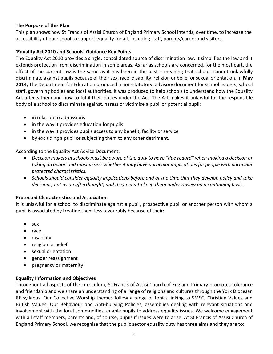## **The Purpose of this Plan**

This plan shows how St Francis of Assisi Church of England Primary School intends, over time, to increase the accessibility of our school to support equality for all, including staff, parents/carers and visitors.

## **'Equality Act 2010 and Schools' Guidance Key Points.**

The Equality Act 2010 provides a single, consolidated source of discrimination law. It simplifies the law and it extends protection from discrimination in some areas. As far as schools are concerned, for the most part, the effect of the current law is the same as it has been in the past – meaning that schools cannot unlawfully discriminate against pupils because of their sex, race, disability, religion or belief or sexual orientation. In **May 2014,** The Department for Education produced a non-statutory, advisory document for school leaders, school staff, governing bodies and local authorities. It was produced to help schools to understand how the Equality Act affects them and how to fulfil their duties under the Act. The Act makes it unlawful for the responsible body of a school to discriminate against, harass or victimise a pupil or potential pupil:

- in relation to admissions
- in the way it provides education for pupils
- in the way it provides pupils access to any benefit, facility or service
- by excluding a pupil or subjecting them to any other detriment.

According to the Equality Act Advice Document:

- *Decision makers in schools must be aware of the duty to have "due regard" when making a decision or taking an action and must assess whether it may have particular implications for people with particular protected characteristics.*
- *Schools should consider equality implications before and at the time that they develop policy and take decisions, not as an afterthought, and they need to keep them under review on a continuing basis.*

## **Protected Characteristics and Association**

It is unlawful for a school to discriminate against a pupil, prospective pupil or another person with whom a pupil is associated by treating them less favourably because of their:

- sex
- race
- disability
- religion or belief
- sexual orientation
- gender reassignment
- pregnancy or maternity

## **Equality Information and Objectives**

Throughout all aspects of the curriculum, St Francis of Assisi Church of England Primary promotes tolerance and friendship and we share an understanding of a range of religions and cultures through the York Diocesan RE syllabus. Our Collective Worship themes follow a range of topics linking to SMSC, Christian Values and British Values. Our Behaviour and Anti-bullying Policies, assemblies dealing with relevant situations and involvement with the local communities, enable pupils to address equality issues. We welcome engagement with all staff members, parents and, of course, pupils if issues were to arise. At St Francis of Assisi Church of England Primary School, we recognise that the public sector equality duty has three aims and they are to: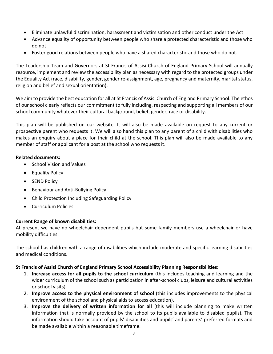- Eliminate unlawful discrimination, harassment and victimisation and other conduct under the Act
- Advance equality of opportunity between people who share a protected characteristic and those who do not
- Foster good relations between people who have a shared characteristic and those who do not.

The Leadership Team and Governors at St Francis of Assisi Church of England Primary School will annually resource, implement and review the accessibility plan as necessary with regard to the protected groups under the Equality Act (race, disability, gender, gender re-assignment, age, pregnancy and maternity, marital status, religion and belief and sexual orientation).

We aim to provide the best education for all at St Francis of Assisi Church of England Primary School. The ethos of our school clearly reflects our commitment to fully including, respecting and supporting all members of our school community whatever their cultural background, belief, gender, race or disability.

This plan will be published on our website. It will also be made available on request to any current or prospective parent who requests it. We will also hand this plan to any parent of a child with disabilities who makes an enquiry about a place for their child at the school. This plan will also be made available to any member of staff or applicant for a post at the school who requests it.

## **Related documents:**

- School Vision and Values
- Equality Policy
- SEND Policy
- Behaviour and Anti-Bullying Policy
- Child Protection Including Safeguarding Policy
- Curriculum Policies

## **Current Range of known disabilities:**

At present we have no wheelchair dependent pupils but some family members use a wheelchair or have mobility difficulties.

The school has children with a range of disabilities which include moderate and specific learning disabilities and medical conditions.

## **St Francis of Assisi Church of England Primary School Accessibility Planning Responsibilities:**

- 1. **Increase access for all pupils to the school curriculum** (this includes teaching and learning and the wider curriculum of the school such as participation in after-school clubs, leisure and cultural activities or school visits).
- 2. **Improve access to the physical environment of school** (this includes improvements to the physical environment of the school and physical aids to access education).
- 3. **Improve the delivery of written information for all** (this will include planning to make written information that is normally provided by the school to its pupils available to disabled pupils). The information should take account of pupils' disabilities and pupils' and parents' preferred formats and be made available within a reasonable timeframe.